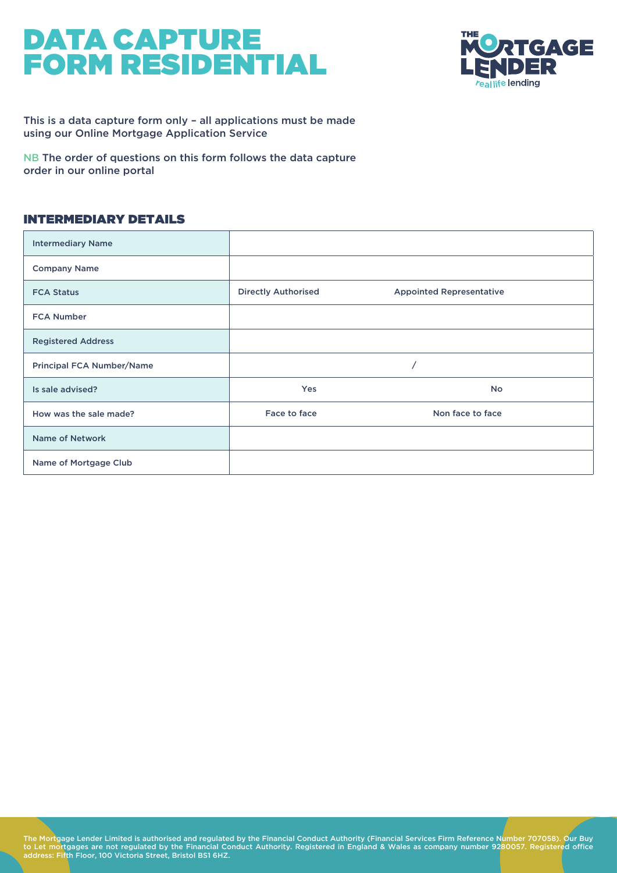

This is a data capture form only – all applications must be made using our Online Mortgage Application Service

NB The order of questions on this form follows the data capture order in our online portal

#### INTERMEDIARY DETAILS

| <b>Intermediary Name</b>         |                            |                                 |
|----------------------------------|----------------------------|---------------------------------|
| <b>Company Name</b>              |                            |                                 |
| <b>FCA Status</b>                | <b>Directly Authorised</b> | <b>Appointed Representative</b> |
| <b>FCA Number</b>                |                            |                                 |
| <b>Registered Address</b>        |                            |                                 |
| <b>Principal FCA Number/Name</b> |                            |                                 |
| Is sale advised?                 | <b>Yes</b>                 | <b>No</b>                       |
| How was the sale made?           | Face to face               | Non face to face                |
| <b>Name of Network</b>           |                            |                                 |
| Name of Mortgage Club            |                            |                                 |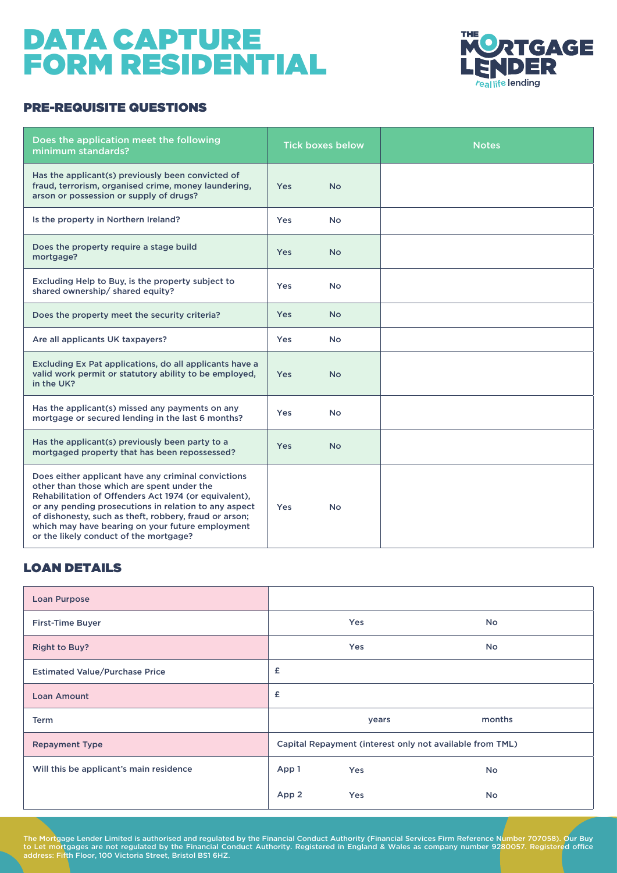

#### PRE-REQUISITE QUESTIONS

| Does the application meet the following<br>minimum standards?                                                                                                                                                                                                                                                                                                               |            | <b>Tick boxes below</b> | <b>Notes</b> |
|-----------------------------------------------------------------------------------------------------------------------------------------------------------------------------------------------------------------------------------------------------------------------------------------------------------------------------------------------------------------------------|------------|-------------------------|--------------|
| Has the applicant(s) previously been convicted of<br>fraud, terrorism, organised crime, money laundering,<br>arson or possession or supply of drugs?                                                                                                                                                                                                                        | <b>Yes</b> | <b>No</b>               |              |
| Is the property in Northern Ireland?                                                                                                                                                                                                                                                                                                                                        | Yes        | <b>No</b>               |              |
| Does the property require a stage build<br>mortgage?                                                                                                                                                                                                                                                                                                                        | <b>Yes</b> | <b>No</b>               |              |
| Excluding Help to Buy, is the property subject to<br>shared ownership/ shared equity?                                                                                                                                                                                                                                                                                       | <b>Yes</b> | <b>No</b>               |              |
| Does the property meet the security criteria?                                                                                                                                                                                                                                                                                                                               | <b>Yes</b> | <b>No</b>               |              |
| Are all applicants UK taxpayers?                                                                                                                                                                                                                                                                                                                                            | <b>Yes</b> | <b>No</b>               |              |
| Excluding Ex Pat applications, do all applicants have a<br>valid work permit or statutory ability to be employed,<br>in the UK?                                                                                                                                                                                                                                             | <b>Yes</b> | No.                     |              |
| Has the applicant(s) missed any payments on any<br>mortgage or secured lending in the last 6 months?                                                                                                                                                                                                                                                                        | Yes        | <b>No</b>               |              |
| Has the applicant(s) previously been party to a<br>mortgaged property that has been repossessed?                                                                                                                                                                                                                                                                            | <b>Yes</b> | <b>No</b>               |              |
| Does either applicant have any criminal convictions<br>other than those which are spent under the<br>Rehabilitation of Offenders Act 1974 (or equivalent),<br>or any pending prosecutions in relation to any aspect<br>of dishonesty, such as theft, robbery, fraud or arson;<br>which may have bearing on your future employment<br>or the likely conduct of the mortgage? | <b>Yes</b> | <b>No</b>               |              |

#### LOAN DETAILS

| <b>Loan Purpose</b>                     |                                                          |            |           |  |  |  |
|-----------------------------------------|----------------------------------------------------------|------------|-----------|--|--|--|
| <b>First-Time Buyer</b>                 |                                                          | Yes        | <b>No</b> |  |  |  |
| <b>Right to Buy?</b>                    |                                                          | Yes        | <b>No</b> |  |  |  |
| <b>Estimated Value/Purchase Price</b>   | £                                                        |            |           |  |  |  |
| <b>Loan Amount</b>                      | £                                                        |            |           |  |  |  |
| <b>Term</b>                             |                                                          | years      | months    |  |  |  |
| <b>Repayment Type</b>                   | Capital Repayment (interest only not available from TML) |            |           |  |  |  |
| Will this be applicant's main residence | App 1                                                    | <b>Yes</b> | No.       |  |  |  |
|                                         | App 2                                                    | <b>Yes</b> | No.       |  |  |  |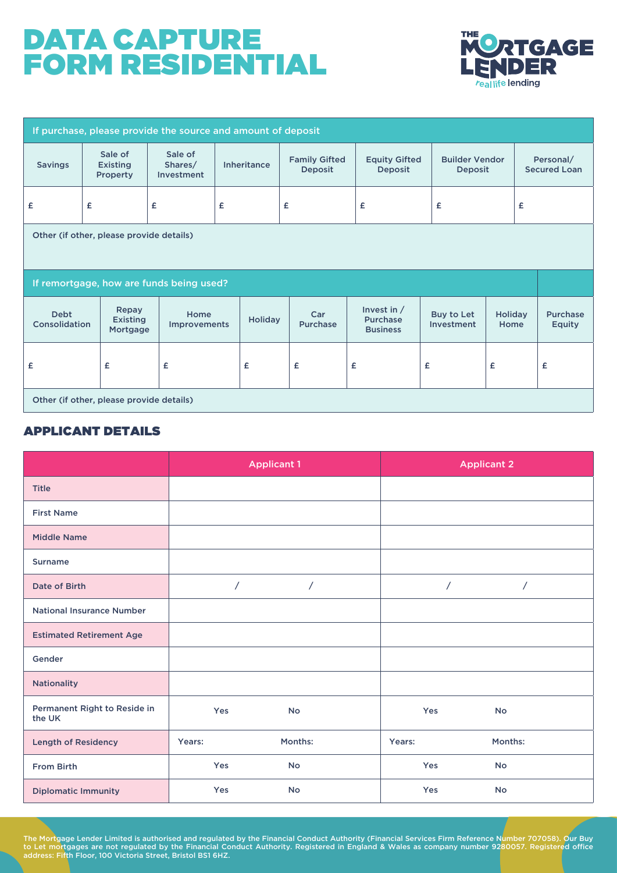

| If purchase, please provide the source and amount of deposit |                                          |                                          |                    |                                        |                                                     |                          |                                  |                                  |  |
|--------------------------------------------------------------|------------------------------------------|------------------------------------------|--------------------|----------------------------------------|-----------------------------------------------------|--------------------------|----------------------------------|----------------------------------|--|
| <b>Savings</b>                                               | Sale of<br><b>Existing</b><br>Property   | Sale of<br>Shares/<br>Investment         | <b>Inheritance</b> | <b>Family Gifted</b><br><b>Deposit</b> | <b>Equity Gifted</b><br><b>Deposit</b>              |                          | <b>Builder Vendor</b><br>Deposit | Personal/<br><b>Secured Loan</b> |  |
| £                                                            | £                                        | £                                        | £                  | £                                      | £                                                   | £                        | £                                |                                  |  |
| Other (if other, please provide details)                     |                                          |                                          |                    |                                        |                                                     |                          |                                  |                                  |  |
|                                                              |                                          | If remortgage, how are funds being used? |                    |                                        |                                                     |                          |                                  |                                  |  |
| <b>Debt</b><br>Consolidation                                 | Repay<br><b>Existing</b><br>Mortgage     | Home<br><b>Improvements</b>              | <b>Holiday</b>     | Car<br><b>Purchase</b>                 | Invest in $/$<br><b>Purchase</b><br><b>Business</b> | Buy to Let<br>Investment | <b>Holiday</b><br>Home           | <b>Purchase</b><br><b>Equity</b> |  |
| £                                                            | £                                        | £                                        | £                  | £                                      | £                                                   | £                        | £                                | £                                |  |
|                                                              | Other (if other, please provide details) |                                          |                    |                                        |                                                     |                          |                                  |                                  |  |

#### APPLICANT DETAILS

|                                        |                | <b>Applicant 1</b> | <b>Applicant 2</b> |            |  |  |
|----------------------------------------|----------------|--------------------|--------------------|------------|--|--|
| <b>Title</b>                           |                |                    |                    |            |  |  |
| <b>First Name</b>                      |                |                    |                    |            |  |  |
| <b>Middle Name</b>                     |                |                    |                    |            |  |  |
| <b>Surname</b>                         |                |                    |                    |            |  |  |
| Date of Birth                          | $\overline{1}$ | $\sqrt{2}$         | $\sqrt{2}$         | $\sqrt{2}$ |  |  |
| <b>National Insurance Number</b>       |                |                    |                    |            |  |  |
| <b>Estimated Retirement Age</b>        |                |                    |                    |            |  |  |
| Gender                                 |                |                    |                    |            |  |  |
| <b>Nationality</b>                     |                |                    |                    |            |  |  |
| Permanent Right to Reside in<br>the UK | Yes            | <b>No</b>          | Yes                | No         |  |  |
| <b>Length of Residency</b>             | Years:         | Months:            | Years:             | Months:    |  |  |
| From Birth                             | Yes            | <b>No</b>          | Yes                | <b>No</b>  |  |  |
| <b>Diplomatic Immunity</b>             | Yes            | <b>No</b>          | Yes                | <b>No</b>  |  |  |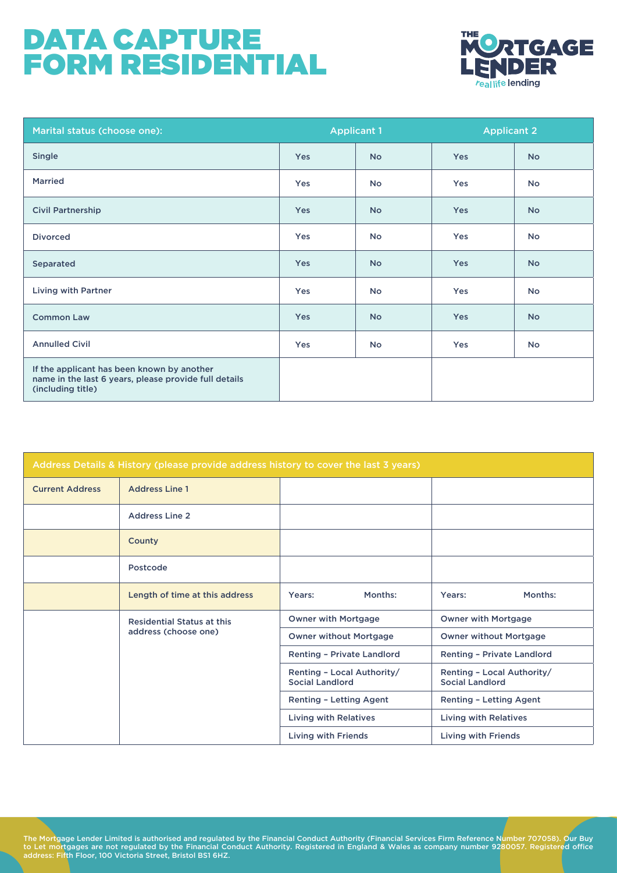

| Marital status (choose one):                                                                                             |            | <b>Applicant 1</b> | <b>Applicant 2</b> |           |  |
|--------------------------------------------------------------------------------------------------------------------------|------------|--------------------|--------------------|-----------|--|
| Single                                                                                                                   | <b>Yes</b> | <b>No</b>          | <b>Yes</b>         | <b>No</b> |  |
| <b>Married</b>                                                                                                           | Yes        | <b>No</b>          | Yes                | <b>No</b> |  |
| <b>Civil Partnership</b>                                                                                                 | Yes        | <b>No</b>          | <b>Yes</b>         | <b>No</b> |  |
| <b>Divorced</b>                                                                                                          | Yes        | <b>No</b>          | Yes                | <b>No</b> |  |
| Separated                                                                                                                | <b>Yes</b> | <b>No</b>          | <b>Yes</b>         | <b>No</b> |  |
| <b>Living with Partner</b>                                                                                               | Yes        | <b>No</b>          | Yes                | <b>No</b> |  |
| <b>Common Law</b>                                                                                                        | Yes        | <b>No</b>          | <b>Yes</b>         | <b>No</b> |  |
| <b>Annulled Civil</b>                                                                                                    | Yes        | <b>No</b>          | Yes                | <b>No</b> |  |
| If the applicant has been known by another<br>name in the last 6 years, please provide full details<br>(including title) |            |                    |                    |           |  |

| Address Details & History (please provide address history to cover the last 3 years) |                                   |                                                      |         |                                                      |                     |  |  |  |
|--------------------------------------------------------------------------------------|-----------------------------------|------------------------------------------------------|---------|------------------------------------------------------|---------------------|--|--|--|
| <b>Current Address</b>                                                               | <b>Address Line 1</b>             |                                                      |         |                                                      |                     |  |  |  |
|                                                                                      | <b>Address Line 2</b>             |                                                      |         |                                                      |                     |  |  |  |
|                                                                                      | County                            |                                                      |         |                                                      |                     |  |  |  |
|                                                                                      | Postcode                          |                                                      |         |                                                      |                     |  |  |  |
|                                                                                      | Length of time at this address    | Years:                                               | Months: | Years:                                               | Months:             |  |  |  |
|                                                                                      | <b>Residential Status at this</b> | Owner with Mortgage                                  |         | <b>Owner with Mortgage</b>                           |                     |  |  |  |
|                                                                                      | address (choose one)              | <b>Owner without Mortgage</b>                        |         | <b>Owner without Mortgage</b>                        |                     |  |  |  |
|                                                                                      |                                   | Renting - Private Landlord                           |         | <b>Renting - Private Landlord</b>                    |                     |  |  |  |
|                                                                                      |                                   | Renting - Local Authority/<br><b>Social Landlord</b> |         | Renting - Local Authority/<br><b>Social Landlord</b> |                     |  |  |  |
|                                                                                      |                                   | <b>Renting - Letting Agent</b>                       |         | <b>Renting - Letting Agent</b>                       |                     |  |  |  |
|                                                                                      |                                   | <b>Living with Relatives</b>                         |         | <b>Living with Relatives</b>                         |                     |  |  |  |
|                                                                                      |                                   | <b>Living with Friends</b>                           |         |                                                      | Living with Friends |  |  |  |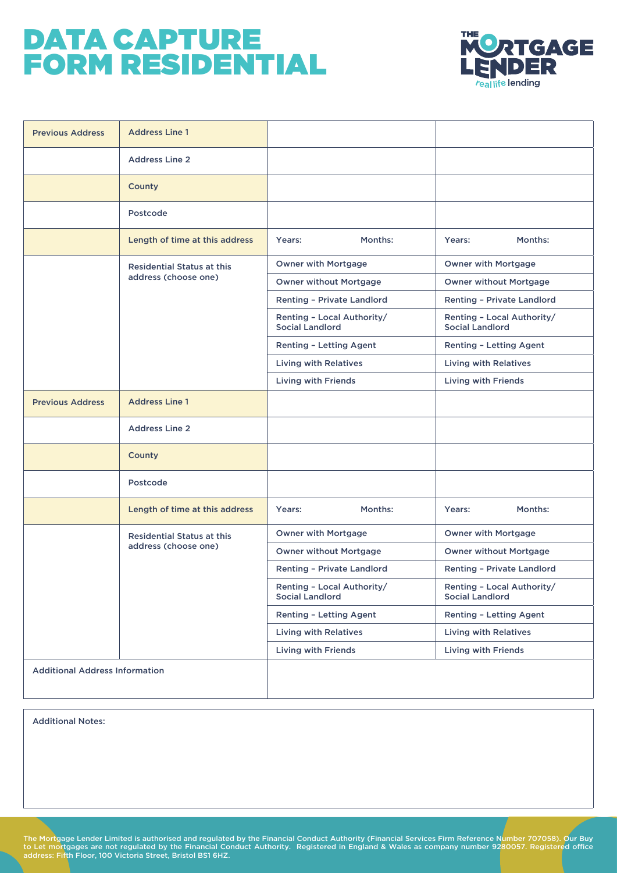

| <b>Previous Address</b>               | <b>Address Line 1</b>             |                                                      |                                                      |
|---------------------------------------|-----------------------------------|------------------------------------------------------|------------------------------------------------------|
|                                       | <b>Address Line 2</b>             |                                                      |                                                      |
|                                       | County                            |                                                      |                                                      |
|                                       | Postcode                          |                                                      |                                                      |
|                                       | Length of time at this address    | Months:<br>Years:                                    | Months:<br>Years:                                    |
|                                       | <b>Residential Status at this</b> | <b>Owner with Mortgage</b>                           | <b>Owner with Mortgage</b>                           |
|                                       | address (choose one)              | <b>Owner without Mortgage</b>                        | <b>Owner without Mortgage</b>                        |
|                                       |                                   | <b>Renting - Private Landlord</b>                    | <b>Renting - Private Landlord</b>                    |
|                                       |                                   | Renting - Local Authority/<br><b>Social Landlord</b> | Renting - Local Authority/<br><b>Social Landlord</b> |
|                                       |                                   | Renting - Letting Agent                              | Renting - Letting Agent                              |
|                                       |                                   | <b>Living with Relatives</b>                         | <b>Living with Relatives</b>                         |
|                                       |                                   | <b>Living with Friends</b>                           | <b>Living with Friends</b>                           |
| <b>Previous Address</b>               | <b>Address Line 1</b>             |                                                      |                                                      |
|                                       | <b>Address Line 2</b>             |                                                      |                                                      |
|                                       | County                            |                                                      |                                                      |
|                                       | Postcode                          |                                                      |                                                      |
|                                       | Length of time at this address    | Months:<br>Years:                                    | Months:<br>Years:                                    |
|                                       | <b>Residential Status at this</b> | <b>Owner with Mortgage</b>                           | <b>Owner with Mortgage</b>                           |
|                                       | address (choose one)              | <b>Owner without Mortgage</b>                        | <b>Owner without Mortgage</b>                        |
|                                       |                                   | Renting - Private Landlord                           | <b>Renting - Private Landlord</b>                    |
|                                       |                                   | Renting - Local Authority/<br><b>Social Landlord</b> | Renting - Local Authority/<br><b>Social Landlord</b> |
|                                       |                                   | Renting - Letting Agent                              | Renting - Letting Agent                              |
|                                       |                                   | <b>Living with Relatives</b>                         | <b>Living with Relatives</b>                         |
|                                       |                                   | <b>Living with Friends</b>                           | <b>Living with Friends</b>                           |
| <b>Additional Address Information</b> |                                   |                                                      |                                                      |

**Additional Notes:**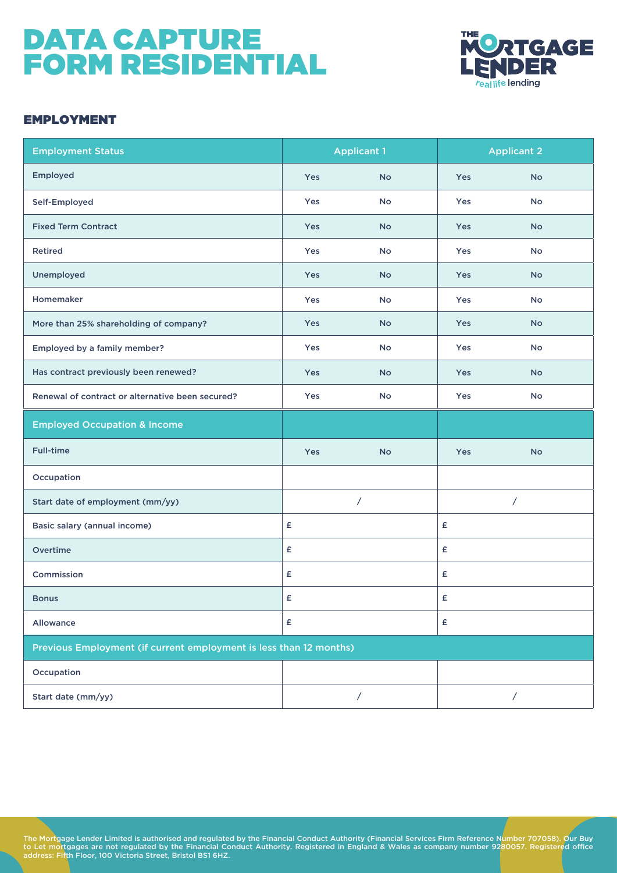

#### EMPLOYMENT

| <b>Employment Status</b>                         |                                                                    | <b>Applicant 1</b> |            | <b>Applicant 2</b> |  |  |  |  |
|--------------------------------------------------|--------------------------------------------------------------------|--------------------|------------|--------------------|--|--|--|--|
| Employed                                         | Yes                                                                | <b>No</b>          | Yes        | <b>No</b>          |  |  |  |  |
| Self-Employed                                    | Yes                                                                | <b>No</b>          | Yes        | <b>No</b>          |  |  |  |  |
| <b>Fixed Term Contract</b>                       | <b>Yes</b>                                                         | <b>No</b>          | Yes        | <b>No</b>          |  |  |  |  |
| <b>Retired</b>                                   | Yes                                                                | <b>No</b>          | Yes        | <b>No</b>          |  |  |  |  |
| Unemployed                                       | <b>Yes</b>                                                         | <b>No</b>          | <b>Yes</b> | <b>No</b>          |  |  |  |  |
| Homemaker                                        | Yes                                                                | No                 | Yes        | <b>No</b>          |  |  |  |  |
| More than 25% shareholding of company?           | <b>Yes</b>                                                         | <b>No</b>          | Yes        | <b>No</b>          |  |  |  |  |
| Employed by a family member?                     | Yes                                                                | <b>No</b>          | Yes        | No                 |  |  |  |  |
| Has contract previously been renewed?            | <b>Yes</b>                                                         | <b>No</b>          | Yes        | <b>No</b>          |  |  |  |  |
| Renewal of contract or alternative been secured? | Yes                                                                | No                 | Yes        | No                 |  |  |  |  |
| <b>Employed Occupation &amp; Income</b>          |                                                                    |                    |            |                    |  |  |  |  |
| <b>Full-time</b>                                 | Yes                                                                | <b>No</b>          | Yes        | <b>No</b>          |  |  |  |  |
| Occupation                                       |                                                                    |                    |            |                    |  |  |  |  |
| Start date of employment (mm/yy)                 | $\overline{ }$                                                     |                    |            | $\overline{ }$     |  |  |  |  |
| Basic salary (annual income)                     | £                                                                  |                    | £          |                    |  |  |  |  |
| Overtime                                         | £                                                                  |                    | £          |                    |  |  |  |  |
| Commission                                       | £                                                                  |                    | £          |                    |  |  |  |  |
| <b>Bonus</b>                                     | £                                                                  |                    | £          |                    |  |  |  |  |
| Allowance                                        | £                                                                  |                    | £          |                    |  |  |  |  |
|                                                  | Previous Employment (if current employment is less than 12 months) |                    |            |                    |  |  |  |  |
| Occupation                                       |                                                                    |                    |            |                    |  |  |  |  |
| Start date (mm/yy)                               |                                                                    | Γ                  |            | Τ                  |  |  |  |  |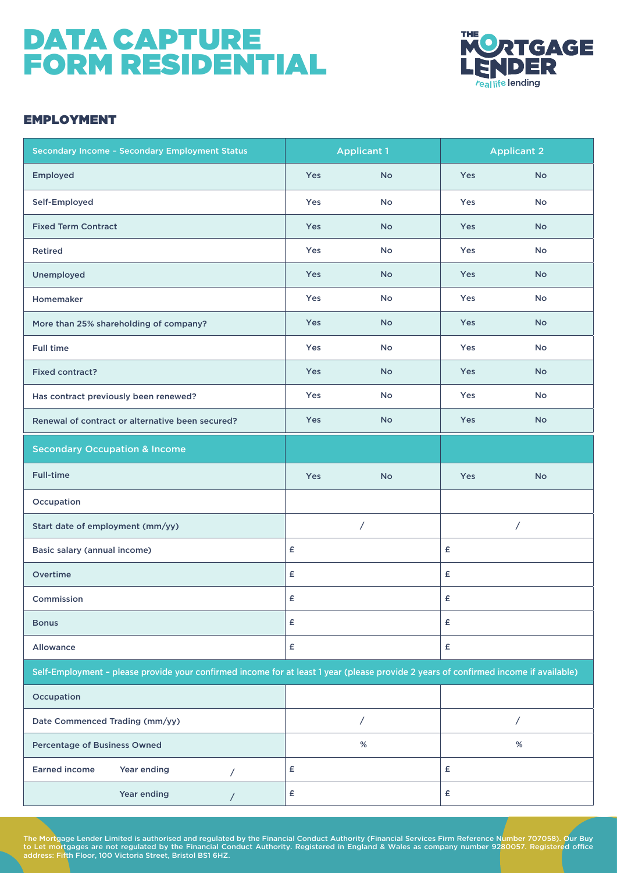

#### EMPLOYMENT

| Secondary Income - Secondary Employment Status                                                                                       |     | <b>Applicant 1</b>       | <b>Applicant 2</b> |           |  |
|--------------------------------------------------------------------------------------------------------------------------------------|-----|--------------------------|--------------------|-----------|--|
| Employed                                                                                                                             | Yes | <b>No</b>                | Yes                | <b>No</b> |  |
| Self-Employed                                                                                                                        | Yes | <b>No</b>                | Yes                | <b>No</b> |  |
| <b>Fixed Term Contract</b>                                                                                                           | Yes | <b>No</b>                | <b>Yes</b>         | <b>No</b> |  |
| <b>Retired</b>                                                                                                                       | Yes | No                       | Yes                | No        |  |
| Unemployed                                                                                                                           | Yes | <b>No</b>                | <b>Yes</b>         | <b>No</b> |  |
| Homemaker                                                                                                                            | Yes | <b>No</b>                | Yes                | <b>No</b> |  |
| More than 25% shareholding of company?                                                                                               | Yes | <b>No</b>                | Yes                | <b>No</b> |  |
| <b>Full time</b>                                                                                                                     | Yes | No                       | Yes                | No        |  |
| <b>Fixed contract?</b>                                                                                                               | Yes | <b>No</b>                | Yes                | <b>No</b> |  |
| Has contract previously been renewed?                                                                                                | Yes | <b>No</b>                | Yes                | No        |  |
| Renewal of contract or alternative been secured?                                                                                     | Yes | <b>No</b>                | <b>Yes</b>         | <b>No</b> |  |
| <b>Secondary Occupation &amp; Income</b>                                                                                             |     |                          |                    |           |  |
| <b>Full-time</b>                                                                                                                     | Yes | <b>No</b>                | <b>Yes</b>         | <b>No</b> |  |
| Occupation                                                                                                                           |     |                          |                    |           |  |
| Start date of employment (mm/yy)                                                                                                     |     | $\overline{\phantom{a}}$ |                    | Γ         |  |
| Basic salary (annual income)                                                                                                         | £   |                          | £                  |           |  |
| Overtime                                                                                                                             | £   |                          | £                  |           |  |
| Commission                                                                                                                           | £   |                          | £                  |           |  |
| <b>Bonus</b>                                                                                                                         | £   |                          | £                  |           |  |
| Allowance                                                                                                                            | £   |                          | £                  |           |  |
| Self-Employment - please provide your confirmed income for at least 1 year (please provide 2 years of confirmed income if available) |     |                          |                    |           |  |
| Occupation                                                                                                                           |     |                          |                    |           |  |
| Date Commenced Trading (mm/yy)                                                                                                       |     | Τ                        | Τ                  |           |  |
| <b>Percentage of Business Owned</b>                                                                                                  |     | $\%$                     |                    | $\%$      |  |
| <b>Earned income</b><br>Year ending<br>$\prime$                                                                                      | £   |                          | £                  |           |  |
| Year ending<br>$\prime$                                                                                                              | £   |                          | £                  |           |  |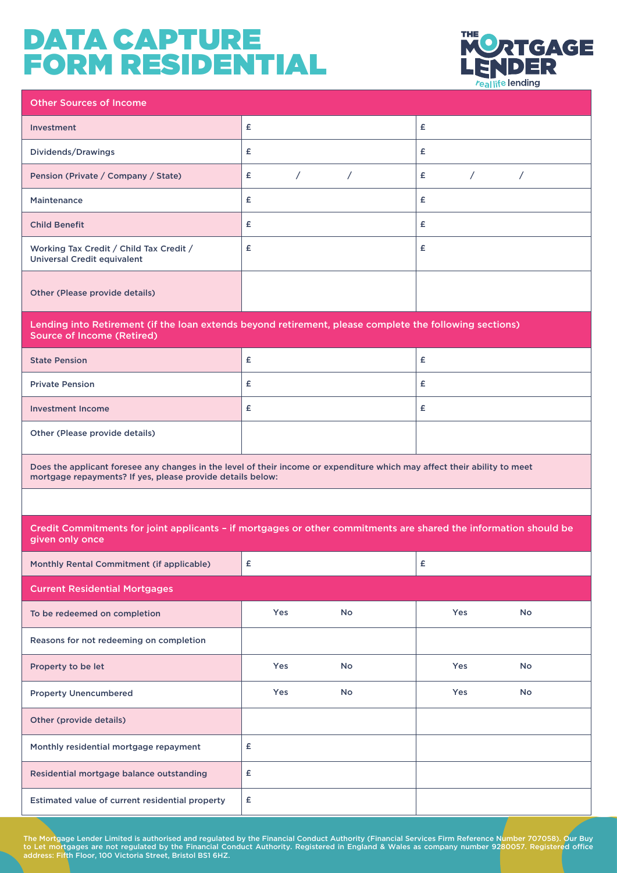

| <b>Other Sources of Income</b>                                                                                                                                                          |                 |            |                 |          |  |  |  |  |
|-----------------------------------------------------------------------------------------------------------------------------------------------------------------------------------------|-----------------|------------|-----------------|----------|--|--|--|--|
| <b>Investment</b>                                                                                                                                                                       | £               |            | £               |          |  |  |  |  |
| Dividends/Drawings                                                                                                                                                                      | £               |            | £               |          |  |  |  |  |
| Pension (Private / Company / State)                                                                                                                                                     | $\sqrt{2}$<br>£ | $\sqrt{2}$ | $\sqrt{2}$<br>£ | $\prime$ |  |  |  |  |
| <b>Maintenance</b>                                                                                                                                                                      | £               |            | £               |          |  |  |  |  |
| <b>Child Benefit</b>                                                                                                                                                                    | £               |            | £               |          |  |  |  |  |
| Working Tax Credit / Child Tax Credit /<br><b>Universal Credit equivalent</b>                                                                                                           | £               |            | £               |          |  |  |  |  |
| Other (Please provide details)                                                                                                                                                          |                 |            |                 |          |  |  |  |  |
| Lending into Retirement (if the loan extends beyond retirement, please complete the following sections)<br><b>Source of Income (Retired)</b>                                            |                 |            |                 |          |  |  |  |  |
| <b>State Pension</b>                                                                                                                                                                    | £               |            | £               |          |  |  |  |  |
| <b>Private Pension</b>                                                                                                                                                                  | £               |            | £               |          |  |  |  |  |
| <b>Investment Income</b>                                                                                                                                                                | £               |            | £               |          |  |  |  |  |
| Other (Please provide details)                                                                                                                                                          |                 |            |                 |          |  |  |  |  |
| Does the applicant foresee any changes in the level of their income or expenditure which may affect their ability to meet<br>mortgage repayments? If yes, please provide details below: |                 |            |                 |          |  |  |  |  |
|                                                                                                                                                                                         |                 |            |                 |          |  |  |  |  |
| Credit Commitments for joint applicants - if mortgages or other commitments are shared the information should be<br>given only once                                                     |                 |            |                 |          |  |  |  |  |
| Monthly Rental Commitment (if applicable)                                                                                                                                               | £               |            | £               |          |  |  |  |  |
| <b>Current Residential Mortgages</b>                                                                                                                                                    |                 |            |                 |          |  |  |  |  |
| To be redeemed on completion                                                                                                                                                            | Yes             | No         | Yes             | No       |  |  |  |  |
| Reasons for not redeeming on completion                                                                                                                                                 |                 |            |                 |          |  |  |  |  |
| Property to be let                                                                                                                                                                      | Yes             | No         | Yes             | No       |  |  |  |  |
| <b>Property Unencumbered</b>                                                                                                                                                            | Yes             | No         | Yes             | No       |  |  |  |  |
| Other (provide details)                                                                                                                                                                 |                 |            |                 |          |  |  |  |  |
| Monthly residential mortgage repayment                                                                                                                                                  | £               |            |                 |          |  |  |  |  |
| Residential mortgage balance outstanding                                                                                                                                                | £               |            |                 |          |  |  |  |  |
|                                                                                                                                                                                         |                 |            |                 |          |  |  |  |  |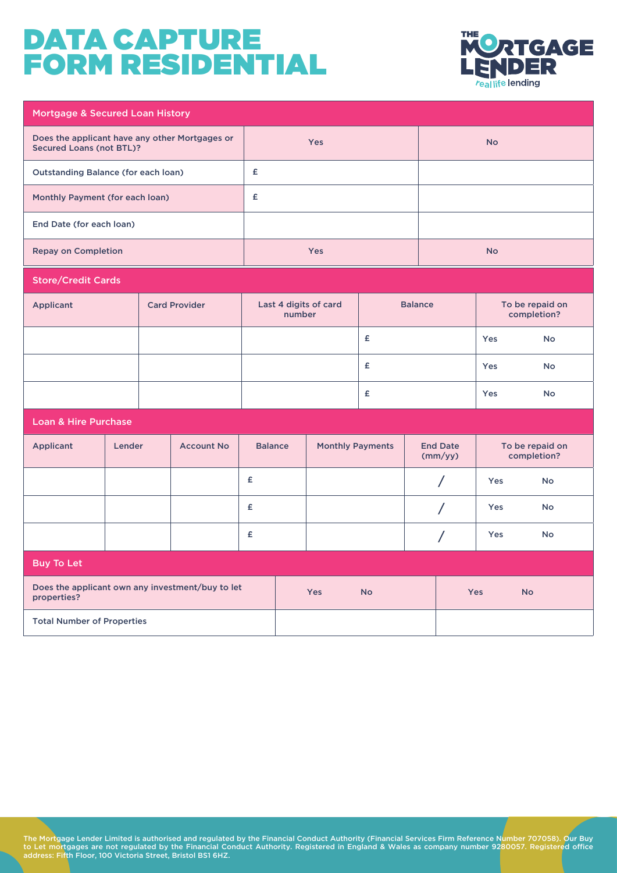

| Mortgage & Secured Loan History                                                   |        |  |                      |                |        |                         |                            |          |                                |                                |           |
|-----------------------------------------------------------------------------------|--------|--|----------------------|----------------|--------|-------------------------|----------------------------|----------|--------------------------------|--------------------------------|-----------|
| Does the applicant have any other Mortgages or<br><b>Secured Loans (not BTL)?</b> |        |  | <b>Yes</b>           |                |        |                         | <b>No</b>                  |          |                                |                                |           |
| <b>Outstanding Balance (for each loan)</b>                                        |        |  |                      | £              |        |                         |                            |          |                                |                                |           |
| Monthly Payment (for each loan)                                                   |        |  |                      | £              |        |                         |                            |          |                                |                                |           |
| End Date (for each loan)                                                          |        |  |                      |                |        |                         |                            |          |                                |                                |           |
| <b>Repay on Completion</b>                                                        |        |  |                      |                |        | Yes                     |                            |          |                                | <b>No</b>                      |           |
| <b>Store/Credit Cards</b>                                                         |        |  |                      |                |        |                         |                            |          |                                |                                |           |
| <b>Applicant</b>                                                                  |        |  | <b>Card Provider</b> |                | number | Last 4 digits of card   | <b>Balance</b>             |          | To be repaid on<br>completion? |                                |           |
|                                                                                   |        |  |                      |                |        |                         | £                          |          | Yes                            | <b>No</b>                      |           |
|                                                                                   |        |  |                      |                |        |                         | £                          |          |                                |                                | <b>No</b> |
|                                                                                   |        |  |                      |                |        |                         | £                          |          | Yes                            | <b>No</b>                      |           |
| <b>Loan &amp; Hire Purchase</b>                                                   |        |  |                      |                |        |                         |                            |          |                                |                                |           |
| <b>Applicant</b>                                                                  | Lender |  | <b>Account No</b>    | <b>Balance</b> |        | <b>Monthly Payments</b> | <b>End Date</b><br>(mm/yy) |          |                                | To be repaid on<br>completion? |           |
|                                                                                   |        |  |                      | £              |        |                         |                            | Τ        |                                | Yes                            | <b>No</b> |
|                                                                                   |        |  |                      | £              |        |                         |                            | $\prime$ |                                | Yes                            | <b>No</b> |
|                                                                                   |        |  |                      | £              |        |                         |                            |          | Τ                              | Yes                            | No        |
| <b>Buy To Let</b>                                                                 |        |  |                      |                |        |                         |                            |          |                                |                                |           |
| Does the applicant own any investment/buy to let<br>properties?                   |        |  |                      |                | Yes    | <b>No</b>               |                            |          | <b>Yes</b>                     | <b>No</b>                      |           |
| <b>Total Number of Properties</b>                                                 |        |  |                      |                |        |                         |                            |          |                                |                                |           |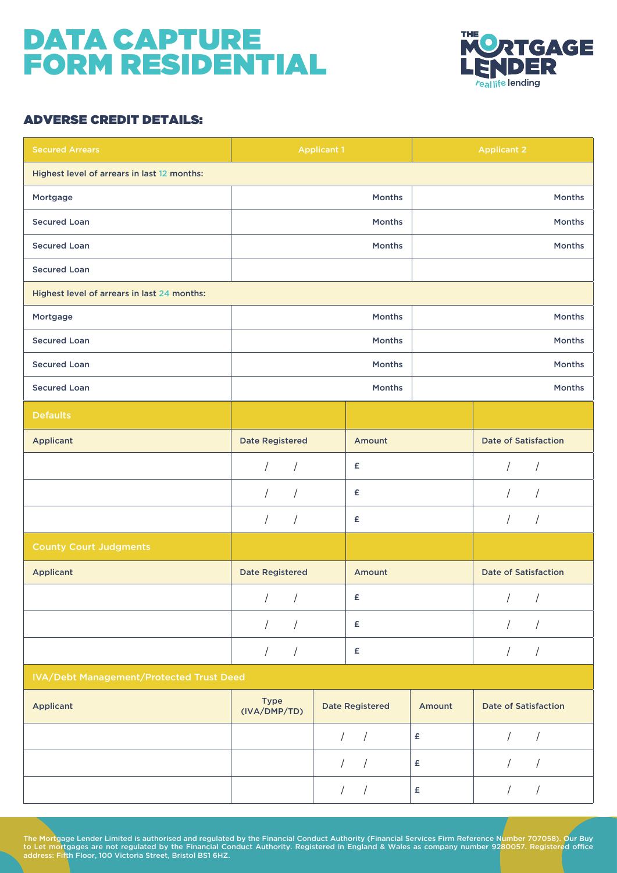

#### ADVERSE CREDIT DETAILS:

| <b>Secured Arrears</b>                          | <b>Applicant 1</b>       |                          |                  | <b>Applicant 2</b>          |
|-------------------------------------------------|--------------------------|--------------------------|------------------|-----------------------------|
| Highest level of arrears in last 12 months:     |                          |                          |                  |                             |
| Mortgage                                        |                          | Months                   |                  | Months                      |
| <b>Secured Loan</b>                             |                          | <b>Months</b>            |                  | <b>Months</b>               |
| <b>Secured Loan</b>                             |                          | <b>Months</b>            |                  | <b>Months</b>               |
| <b>Secured Loan</b>                             |                          |                          |                  |                             |
| Highest level of arrears in last 24 months:     |                          |                          |                  |                             |
| Mortgage                                        |                          | Months                   |                  | Months                      |
| <b>Secured Loan</b>                             |                          | Months                   |                  | Months                      |
| <b>Secured Loan</b>                             |                          | Months                   |                  | Months                      |
| <b>Secured Loan</b>                             |                          | Months                   |                  | Months                      |
| <b>Defaults</b>                                 |                          |                          |                  |                             |
| <b>Applicant</b>                                | <b>Date Registered</b>   | Amount                   |                  | <b>Date of Satisfaction</b> |
|                                                 | $\sqrt{ }$<br>$\sqrt{2}$ | £                        |                  | $\sqrt{2}$<br>$\sqrt{2}$    |
|                                                 | $\sqrt{2}$<br>$\sqrt{2}$ | £                        |                  | T<br>/                      |
|                                                 | $\sqrt{2}$<br>$\sqrt{ }$ | £                        |                  | $\prime$<br>$\prime$        |
| <b>County Court Judgments</b>                   |                          |                          |                  |                             |
| <b>Applicant</b>                                | <b>Date Registered</b>   | Amount                   |                  | <b>Date of Satisfaction</b> |
|                                                 |                          | £                        |                  |                             |
|                                                 | $\sqrt{2}$<br>$\prime$   | £                        |                  | $\sqrt{2}$<br>$\prime$      |
|                                                 | $\sqrt{2}$<br>$\sqrt{2}$ | $\pmb{\epsilon}$         |                  | $\sqrt{2}$<br>$\sqrt{2}$    |
| <b>IVA/Debt Management/Protected Trust Deed</b> |                          |                          |                  |                             |
| <b>Applicant</b>                                | Type<br>(IVA/DMP/TD)     | <b>Date Registered</b>   | Amount           | <b>Date of Satisfaction</b> |
|                                                 |                          | $\sqrt{2}$<br>$\sqrt{ }$ | £                | $\sqrt{2}$                  |
|                                                 |                          | $\sqrt{2}$<br>$\sqrt{2}$ | $\pmb{\epsilon}$ | $\sqrt{2}$<br>$\sqrt{2}$    |
|                                                 |                          | $\frac{1}{2}$            | $\pmb{\epsilon}$ | $\sqrt{2}$<br>$\sqrt{2}$    |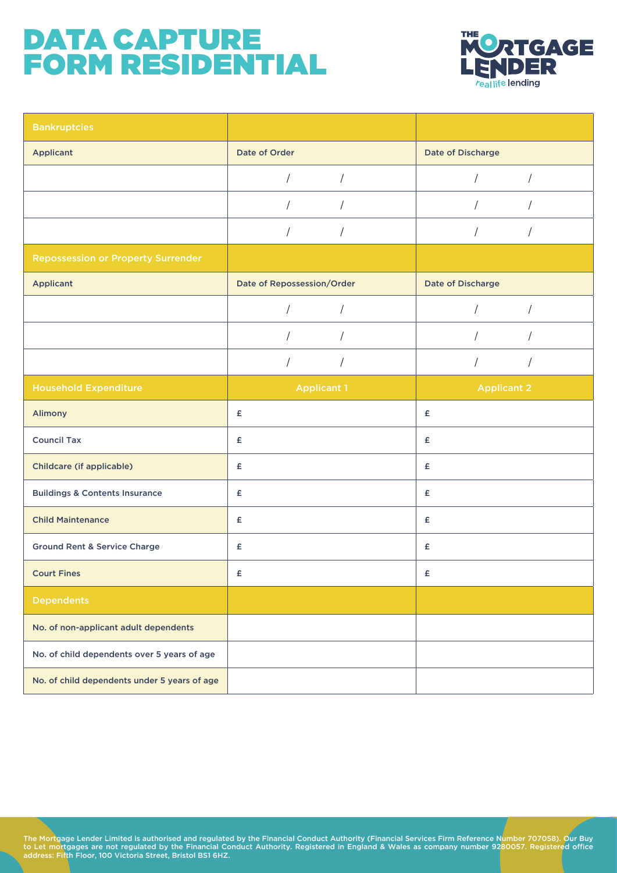

| <b>Bankruptcies</b>                          |                            |                                    |
|----------------------------------------------|----------------------------|------------------------------------|
| <b>Applicant</b>                             | Date of Order              | Date of Discharge                  |
|                                              | $\sqrt{2}$<br>$\sqrt{2}$   | $\sqrt{2}$<br>$\sqrt{2}$           |
|                                              | $\sqrt{2}$                 | $\sqrt{2}$<br>$\prime$             |
|                                              | $\sqrt{2}$                 | $\sqrt{ }$<br>$\sqrt{2}$           |
| <b>Repossession or Property Surrender</b>    |                            |                                    |
| <b>Applicant</b>                             | Date of Repossession/Order | Date of Discharge                  |
|                                              |                            |                                    |
|                                              |                            |                                    |
|                                              | $\sqrt{2}$<br>$\sqrt{2}$   | $\sqrt{2}$<br>$\sqrt{\phantom{a}}$ |
| <b>Household Expenditure</b>                 | <b>Applicant 1</b>         | <b>Applicant 2</b>                 |
| Alimony                                      | £                          | £                                  |
| <b>Council Tax</b>                           | £                          | £                                  |
| Childcare (if applicable)                    | £                          | £                                  |
| <b>Buildings &amp; Contents Insurance</b>    | £                          | £                                  |
| <b>Child Maintenance</b>                     | £                          | £                                  |
| <b>Ground Rent &amp; Service Charge</b>      | $\pmb{\mathsf{E}}$         | £                                  |
| <b>Court Fines</b>                           | £                          | £                                  |
| <b>Dependents</b>                            |                            |                                    |
| No. of non-applicant adult dependents        |                            |                                    |
| No. of child dependents over 5 years of age  |                            |                                    |
| No. of child dependents under 5 years of age |                            |                                    |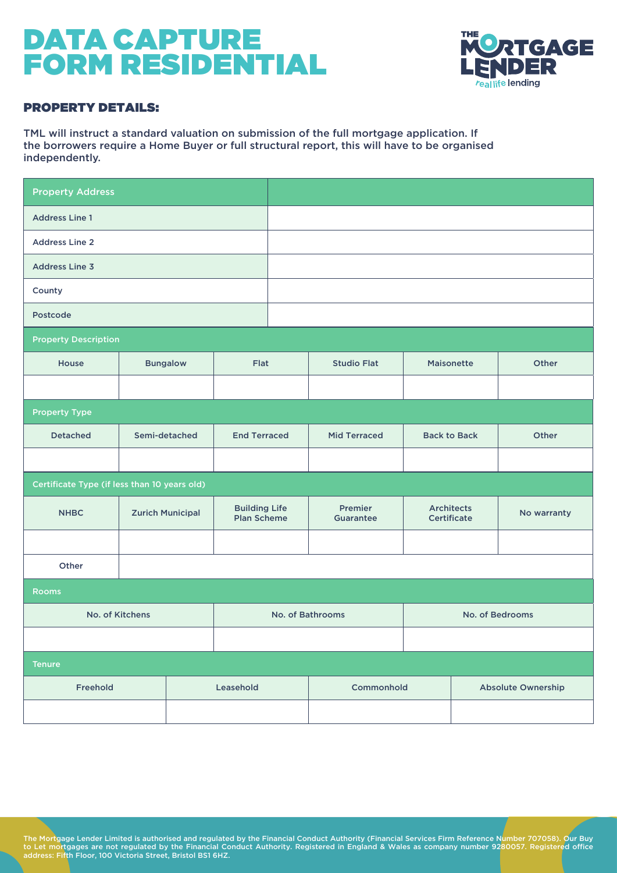

#### PROPERTY DETAILS:

TML will instruct a standard valuation on submission of the full mortgage application. If the borrowers require a Home Buyer or full structural report, this will have to be organised independently.

| <b>Property Address</b>                      |                         |                                            |                  |                      |  |                                  |             |
|----------------------------------------------|-------------------------|--------------------------------------------|------------------|----------------------|--|----------------------------------|-------------|
| <b>Address Line 1</b>                        |                         |                                            |                  |                      |  |                                  |             |
| <b>Address Line 2</b>                        |                         |                                            |                  |                      |  |                                  |             |
| <b>Address Line 3</b>                        |                         |                                            |                  |                      |  |                                  |             |
| County                                       |                         |                                            |                  |                      |  |                                  |             |
| Postcode                                     |                         |                                            |                  |                      |  |                                  |             |
| <b>Property Description</b>                  |                         |                                            |                  |                      |  |                                  |             |
| House                                        | <b>Bungalow</b>         | Flat                                       |                  | <b>Studio Flat</b>   |  | Maisonette                       | Other       |
|                                              |                         |                                            |                  |                      |  |                                  |             |
| <b>Property Type</b>                         |                         |                                            |                  |                      |  |                                  |             |
| <b>Detached</b>                              | Semi-detached           | <b>End Terraced</b>                        |                  | <b>Mid Terraced</b>  |  | <b>Back to Back</b>              | Other       |
|                                              |                         |                                            |                  |                      |  |                                  |             |
| Certificate Type (if less than 10 years old) |                         |                                            |                  |                      |  |                                  |             |
| <b>NHBC</b>                                  | <b>Zurich Municipal</b> | <b>Building Life</b><br><b>Plan Scheme</b> |                  | Premier<br>Guarantee |  | <b>Architects</b><br>Certificate | No warranty |
|                                              |                         |                                            |                  |                      |  |                                  |             |
| Other                                        |                         |                                            |                  |                      |  |                                  |             |
| <b>Rooms</b>                                 |                         |                                            |                  |                      |  |                                  |             |
| No. of Kitchens                              |                         |                                            | No. of Bathrooms |                      |  | No. of Bedrooms                  |             |
|                                              |                         |                                            |                  |                      |  |                                  |             |
| <b>Tenure</b>                                |                         |                                            |                  |                      |  |                                  |             |
| Freehold                                     | Leasehold               |                                            |                  | Commonhold           |  | Absolute Ownership               |             |
|                                              |                         |                                            |                  |                      |  |                                  |             |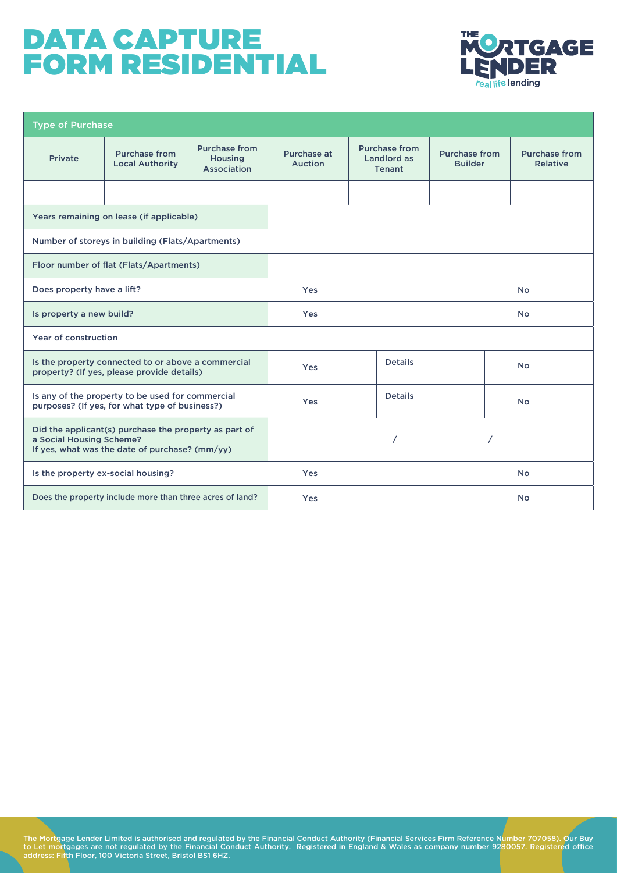

| <b>Type of Purchase</b>                                                                                                             |                                                          |                                                       |                        |                                                      |                                        |                                  |
|-------------------------------------------------------------------------------------------------------------------------------------|----------------------------------------------------------|-------------------------------------------------------|------------------------|------------------------------------------------------|----------------------------------------|----------------------------------|
| <b>Private</b>                                                                                                                      | Purchase from<br><b>Local Authority</b>                  | <b>Purchase from</b><br><b>Housing</b><br>Association | Purchase at<br>Auction | <b>Purchase from</b><br>Landlord as<br><b>Tenant</b> | <b>Purchase from</b><br><b>Builder</b> | <b>Purchase from</b><br>Relative |
|                                                                                                                                     |                                                          |                                                       |                        |                                                      |                                        |                                  |
| Years remaining on lease (if applicable)                                                                                            |                                                          |                                                       |                        |                                                      |                                        |                                  |
|                                                                                                                                     | Number of storeys in building (Flats/Apartments)         |                                                       |                        |                                                      |                                        |                                  |
|                                                                                                                                     | Floor number of flat (Flats/Apartments)                  |                                                       |                        |                                                      |                                        |                                  |
| Does property have a lift?                                                                                                          |                                                          | <b>Yes</b>                                            |                        |                                                      | <b>No</b>                              |                                  |
| Is property a new build?                                                                                                            |                                                          | Yes                                                   |                        |                                                      | <b>No</b>                              |                                  |
| Year of construction                                                                                                                |                                                          |                                                       |                        |                                                      |                                        |                                  |
| Is the property connected to or above a commercial<br>property? (If yes, please provide details)                                    |                                                          | Yes                                                   | <b>Details</b>         |                                                      | <b>No</b>                              |                                  |
| Is any of the property to be used for commercial<br>purposes? (If yes, for what type of business?)                                  |                                                          | Yes                                                   | <b>Details</b>         |                                                      | <b>No</b>                              |                                  |
| Did the applicant(s) purchase the property as part of<br>a Social Housing Scheme?<br>If yes, what was the date of purchase? (mm/yy) |                                                          |                                                       |                        |                                                      |                                        |                                  |
| Is the property ex-social housing?                                                                                                  |                                                          | Yes                                                   |                        |                                                      | <b>No</b>                              |                                  |
|                                                                                                                                     | Does the property include more than three acres of land? |                                                       | <b>Yes</b>             |                                                      |                                        | <b>No</b>                        |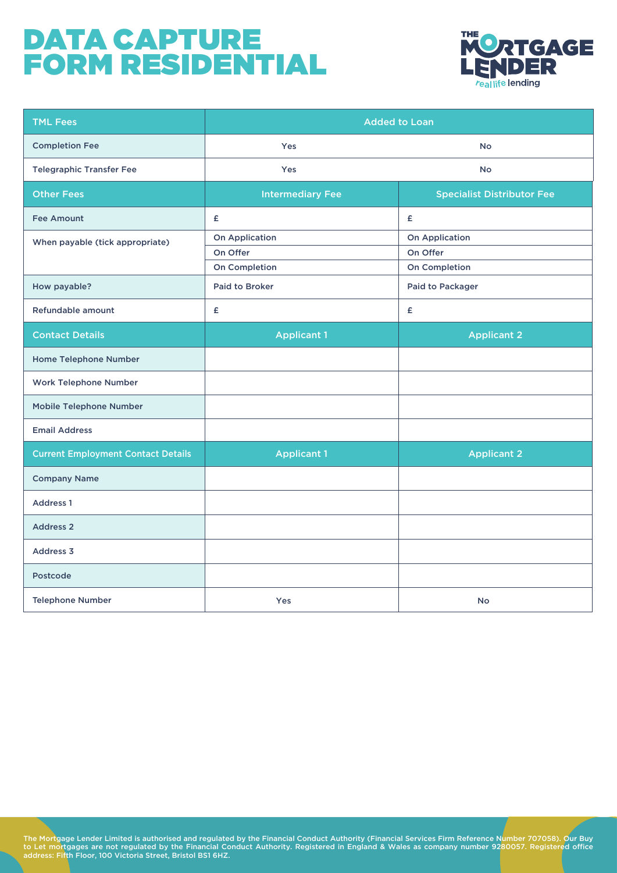

| <b>TML Fees</b>                           | <b>Added to Loan</b>    |                                   |  |  |
|-------------------------------------------|-------------------------|-----------------------------------|--|--|
| <b>Completion Fee</b>                     | Yes                     | <b>No</b>                         |  |  |
| <b>Telegraphic Transfer Fee</b>           | Yes                     | No                                |  |  |
| <b>Other Fees</b>                         | <b>Intermediary Fee</b> | <b>Specialist Distributor Fee</b> |  |  |
| <b>Fee Amount</b>                         | £                       | £                                 |  |  |
| When payable (tick appropriate)           | <b>On Application</b>   | <b>On Application</b>             |  |  |
|                                           | On Offer                | On Offer                          |  |  |
|                                           | On Completion           | On Completion                     |  |  |
| How payable?                              | <b>Paid to Broker</b>   | Paid to Packager                  |  |  |
| Refundable amount                         | £                       | £                                 |  |  |
| <b>Contact Details</b>                    | <b>Applicant 1</b>      | <b>Applicant 2</b>                |  |  |
| <b>Home Telephone Number</b>              |                         |                                   |  |  |
| <b>Work Telephone Number</b>              |                         |                                   |  |  |
| <b>Mobile Telephone Number</b>            |                         |                                   |  |  |
| <b>Email Address</b>                      |                         |                                   |  |  |
| <b>Current Employment Contact Details</b> | <b>Applicant 1</b>      | <b>Applicant 2</b>                |  |  |
| <b>Company Name</b>                       |                         |                                   |  |  |
| <b>Address 1</b>                          |                         |                                   |  |  |
| <b>Address 2</b>                          |                         |                                   |  |  |
| <b>Address 3</b>                          |                         |                                   |  |  |
| Postcode                                  |                         |                                   |  |  |
| <b>Telephone Number</b>                   | Yes                     | <b>No</b>                         |  |  |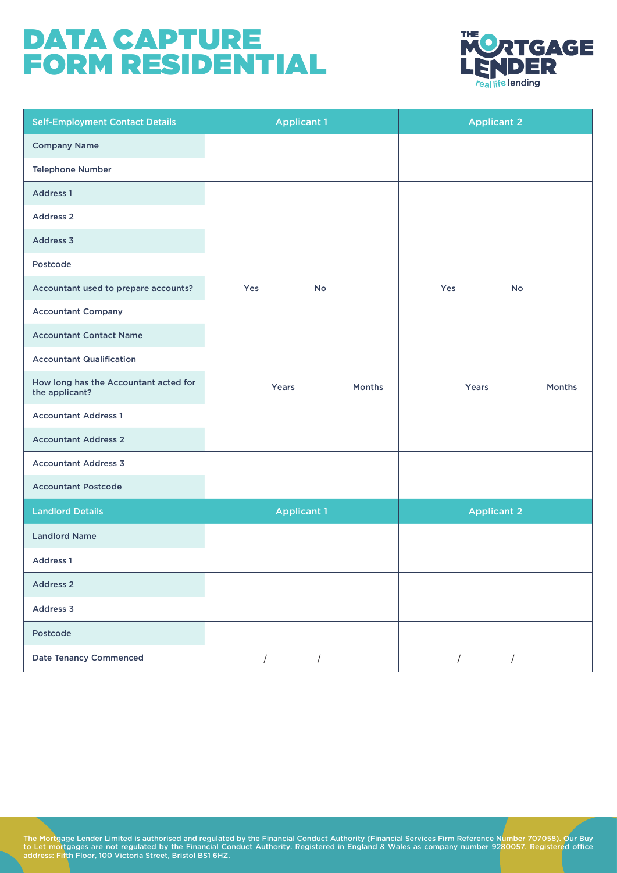

| <b>Self-Employment Contact Details</b>                  | <b>Applicant 1</b>           |        |            | <b>Applicant 2</b> |        |
|---------------------------------------------------------|------------------------------|--------|------------|--------------------|--------|
| <b>Company Name</b>                                     |                              |        |            |                    |        |
| <b>Telephone Number</b>                                 |                              |        |            |                    |        |
| <b>Address 1</b>                                        |                              |        |            |                    |        |
| <b>Address 2</b>                                        |                              |        |            |                    |        |
| Address 3                                               |                              |        |            |                    |        |
| Postcode                                                |                              |        |            |                    |        |
| Accountant used to prepare accounts?                    | Yes<br>No                    |        | Yes        | No                 |        |
| <b>Accountant Company</b>                               |                              |        |            |                    |        |
| <b>Accountant Contact Name</b>                          |                              |        |            |                    |        |
| <b>Accountant Qualification</b>                         |                              |        |            |                    |        |
| How long has the Accountant acted for<br>the applicant? | Years                        | Months |            | Years              | Months |
| <b>Accountant Address 1</b>                             |                              |        |            |                    |        |
| <b>Accountant Address 2</b>                             |                              |        |            |                    |        |
| <b>Accountant Address 3</b>                             |                              |        |            |                    |        |
| <b>Accountant Postcode</b>                              |                              |        |            |                    |        |
| <b>Landlord Details</b>                                 | <b>Applicant 1</b>           |        |            | <b>Applicant 2</b> |        |
| <b>Landlord Name</b>                                    |                              |        |            |                    |        |
| <b>Address 1</b>                                        |                              |        |            |                    |        |
| <b>Address 2</b>                                        |                              |        |            |                    |        |
| Address 3                                               |                              |        |            |                    |        |
| Postcode                                                |                              |        |            |                    |        |
| <b>Date Tenancy Commenced</b>                           | $\sqrt{2}$<br>$\overline{1}$ |        | $\sqrt{2}$ | $\sqrt{2}$         |        |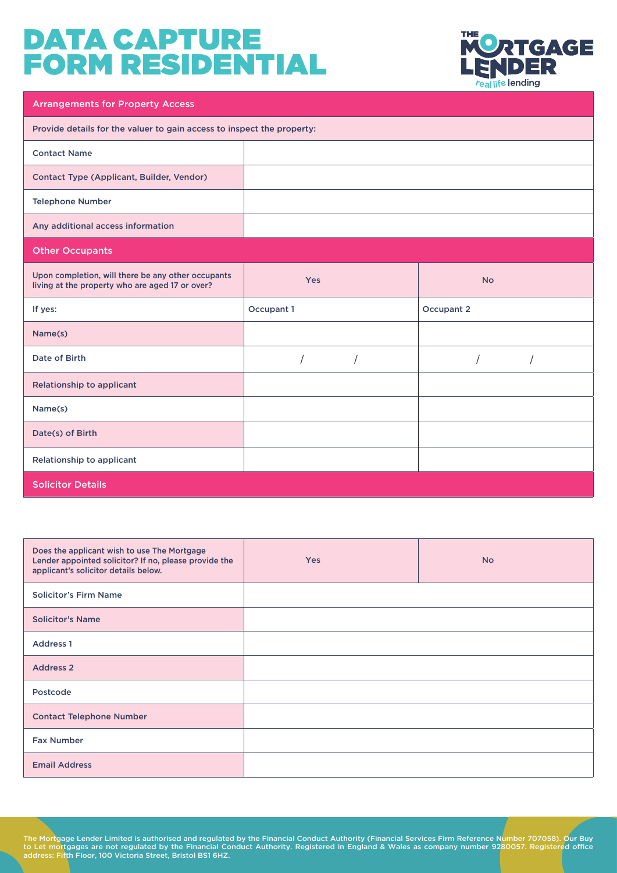

| <b>Arrangements for Property Access</b>                                                               |                          |            |  |  |
|-------------------------------------------------------------------------------------------------------|--------------------------|------------|--|--|
| Provide details for the valuer to gain access to inspect the property:                                |                          |            |  |  |
| <b>Contact Name</b>                                                                                   |                          |            |  |  |
| Contact Type (Applicant, Builder, Vendor)                                                             |                          |            |  |  |
| <b>Telephone Number</b>                                                                               |                          |            |  |  |
| Any additional access information                                                                     |                          |            |  |  |
| <b>Other Occupants</b>                                                                                |                          |            |  |  |
| Upon completion, will there be any other occupants<br>living at the property who are aged 17 or over? | Yes                      | <b>No</b>  |  |  |
|                                                                                                       |                          |            |  |  |
| If yes:                                                                                               | Occupant 1               | Occupant 2 |  |  |
| Name(s)                                                                                               |                          |            |  |  |
| Date of Birth                                                                                         | $\sqrt{2}$<br>$\sqrt{2}$ | $\sqrt{2}$ |  |  |
| Relationship to applicant                                                                             |                          |            |  |  |
| Name(s)                                                                                               |                          |            |  |  |
| Date(s) of Birth                                                                                      |                          |            |  |  |
| Relationship to applicant                                                                             |                          |            |  |  |

| Does the applicant wish to use The Mortgage<br>Lender appointed solicitor? If no, please provide the<br>applicant's solicitor details below. | <b>Yes</b> | <b>No</b> |
|----------------------------------------------------------------------------------------------------------------------------------------------|------------|-----------|
| <b>Solicitor's Firm Name</b>                                                                                                                 |            |           |
| <b>Solicitor's Name</b>                                                                                                                      |            |           |
| <b>Address 1</b>                                                                                                                             |            |           |
| <b>Address 2</b>                                                                                                                             |            |           |
| Postcode                                                                                                                                     |            |           |
| <b>Contact Telephone Number</b>                                                                                                              |            |           |
| <b>Fax Number</b>                                                                                                                            |            |           |
| <b>Email Address</b>                                                                                                                         |            |           |